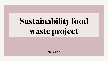**Alison kenny**



# **Sustainability food waste project**

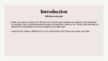#### **Wicklow naturally**

## **Introduction**

• Hello, my name is Alison I'm 15 and I'm a fourth year student at coláiste chill mhaintain in wicklow.I am in environmental studies my teachers name is ms Turner and she told us

- about this competition and encouraged us to take part.
- I hope to try make a difference in our community and I hope you enjoy my idea.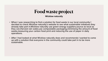#### **Wicklow naturally Food waste project**

decided to check Wicklow naturally's website to see what sustainable initiatives they already take part in.Wicklow naturally use green energy suppliers,source as local as they can,Harvest rain water,use compostable packaging,minimising the amount of food

- When I was researching to find a solution for food waste in our local community I waste,measuring your carbon food print and reducing the use of paper in daily operations.
- up with a solution that everyone in the community could take part in to be more sustainable.

• After I had looked at what Wicklow naturally does and recommends I wanted to come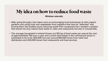### **Wicklow naturally My idea on how to reduce food waste**

• After going through a few ideas such as encouraging local businesses to start organic gardens and using fruits and vegetables from suppliers that may be "defected" and turning them into healthy juices reducing waste from companies but I wanted a solution that would not only reduce food waste in cafes and restaurants but also in households.

• The average household in Ireland throws out 150 kg of food waste per year;at the cost of approximately 700 euro a year and current food waste in the commercial sector is

- 
- estimated to be to be 303,000 tons per annum(100,000 tones from retail and distribution and 203,000 tones from restaurants and food service).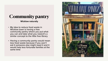#### **Wicklow naturally Community pantry**

- My idea to reduce food waste in Wicklow town is having a free community pantry where you put what you can and take what you need,it's a similar concept to the little free library
- Having a community pantry would mean less food waste because if you won't eat it someone else might need it and it would help less fortunate families at the same time

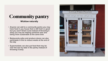#### **Wicklow naturally Community pantry**

- Anyone can add to a community pantry you may have food in you house that is still fresh or good but you won't finish it and instead of throwing it away you may be helping someone else and being more sustainable at the same time
- Restaurants,cafes and produce stores can also participate in this to reduce waste at the end of the day
- Supermarkets can also put food that may be near the due by date in the pantry instead of throwing it away